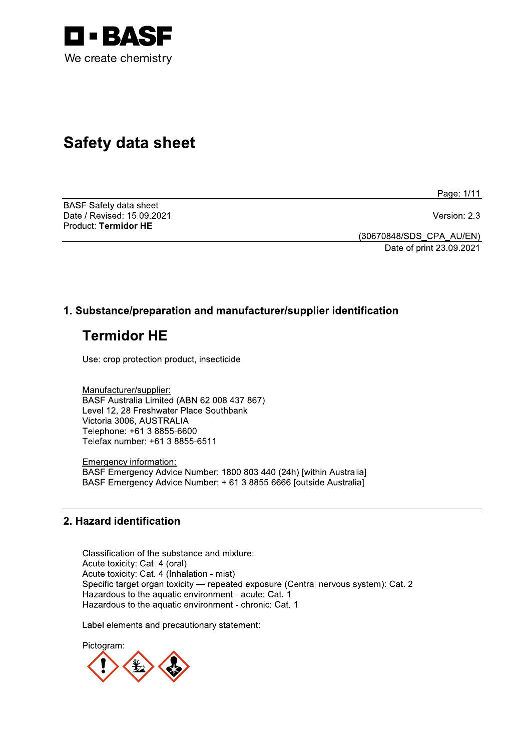

# **Safety data sheet**

Page: 1/11

**BASF Safety data sheet** Date / Revised: 15.09.2021 Product: Termidor HE

Version: 2.3

(30670848/SDS\_CPA\_AU/EN) Date of print 23.09.2021

# 1. Substance/preparation and manufacturer/supplier identification

# **Termidor HE**

Use: crop protection product, insecticide

Manufacturer/supplier: BASF Australia Limited (ABN 62 008 437 867) Level 12, 28 Freshwater Place Southbank Victoria 3006, AUSTRALIA Telephone: +61 3 8855-6600 Telefax number: +61 3 8855-6511

**Emergency information:** BASF Emergency Advice Number: 1800 803 440 (24h) [within Australia] BASF Emergency Advice Number: + 61 3 8855 6666 [outside Australia]

# 2. Hazard identification

Classification of the substance and mixture: Acute toxicity: Cat. 4 (oral) Acute toxicity: Cat. 4 (Inhalation - mist) Specific target organ toxicity - repeated exposure (Central nervous system): Cat. 2 Hazardous to the aquatic environment - acute: Cat. 1 Hazardous to the aquatic environment - chronic: Cat. 1

Label elements and precautionary statement:

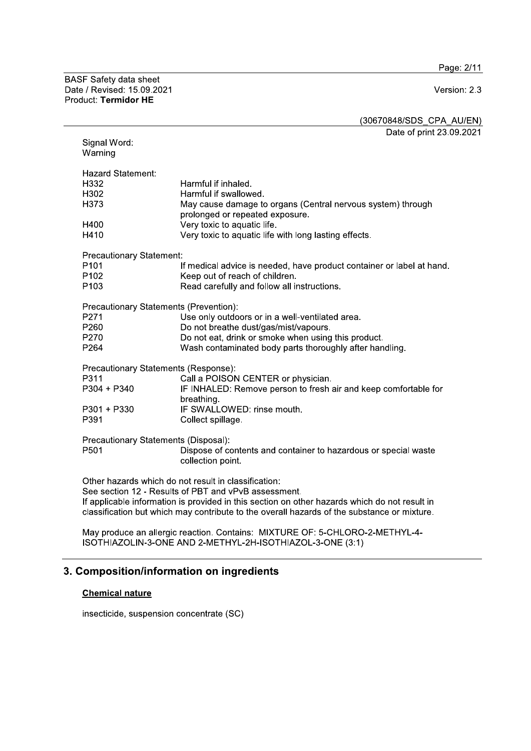Page: 2/11

BASF Safety data sheet<br>Date / Revised: 15.09.2021 Product: Termidor HE

# Version: 2.3

(30670848/SDS\_CPA\_AU/EN)

Date of print 23.09.2021

| Signal Word:<br>Warning                                                                                                                                                                                                                                                                                      |                                                                                                                                                                                                            |  |
|--------------------------------------------------------------------------------------------------------------------------------------------------------------------------------------------------------------------------------------------------------------------------------------------------------------|------------------------------------------------------------------------------------------------------------------------------------------------------------------------------------------------------------|--|
| <b>Hazard Statement:</b>                                                                                                                                                                                                                                                                                     | Harmful if inhaled.                                                                                                                                                                                        |  |
| H332                                                                                                                                                                                                                                                                                                         | Harmful if swallowed.                                                                                                                                                                                      |  |
| H302                                                                                                                                                                                                                                                                                                         | May cause damage to organs (Central nervous system) through                                                                                                                                                |  |
| H373                                                                                                                                                                                                                                                                                                         | prolonged or repeated exposure.                                                                                                                                                                            |  |
| H400                                                                                                                                                                                                                                                                                                         | Very toxic to aquatic life.                                                                                                                                                                                |  |
| H410                                                                                                                                                                                                                                                                                                         | Very toxic to aquatic life with long lasting effects.                                                                                                                                                      |  |
| <b>Precautionary Statement:</b><br>P <sub>101</sub><br>P <sub>102</sub><br>P <sub>103</sub>                                                                                                                                                                                                                  | If medical advice is needed, have product container or label at hand.<br>Keep out of reach of children.<br>Read carefully and follow all instructions.                                                     |  |
| Precautionary Statements (Prevention):<br>P271<br>P <sub>260</sub><br>P270<br>P264                                                                                                                                                                                                                           | Use only outdoors or in a well-ventilated area.<br>Do not breathe dust/gas/mist/vapours.<br>Do not eat, drink or smoke when using this product.<br>Wash contaminated body parts thoroughly after handling. |  |
| Precautionary Statements (Response):                                                                                                                                                                                                                                                                         | Call a POISON CENTER or physician.                                                                                                                                                                         |  |
| P311                                                                                                                                                                                                                                                                                                         | IF INHALED: Remove person to fresh air and keep comfortable for                                                                                                                                            |  |
| P304 + P340                                                                                                                                                                                                                                                                                                  | breathing.                                                                                                                                                                                                 |  |
| P301 + P330                                                                                                                                                                                                                                                                                                  | IF SWALLOWED: rinse mouth.                                                                                                                                                                                 |  |
| P391                                                                                                                                                                                                                                                                                                         | Collect spillage.                                                                                                                                                                                          |  |
| Precautionary Statements (Disposal):                                                                                                                                                                                                                                                                         | Dispose of contents and container to hazardous or special waste                                                                                                                                            |  |
| P <sub>501</sub>                                                                                                                                                                                                                                                                                             | collection point.                                                                                                                                                                                          |  |
| Other hazards which do not result in classification:<br>See section 12 - Results of PBT and vPvB assessment.<br>If applicable information is provided in this section on other hazards which do not result in<br>classification but which may contribute to the overall hazards of the substance or mixture. |                                                                                                                                                                                                            |  |

May produce an allergic reaction. Contains: MIXTURE OF: 5-CHLORO-2-METHYL-4-ISOTHIAZOLIN-3-ONE AND 2-METHYL-2H-ISOTHIAZOL-3-ONE (3:1)

# 3. Composition/information on ingredients

# **Chemical nature**

insecticide, suspension concentrate (SC)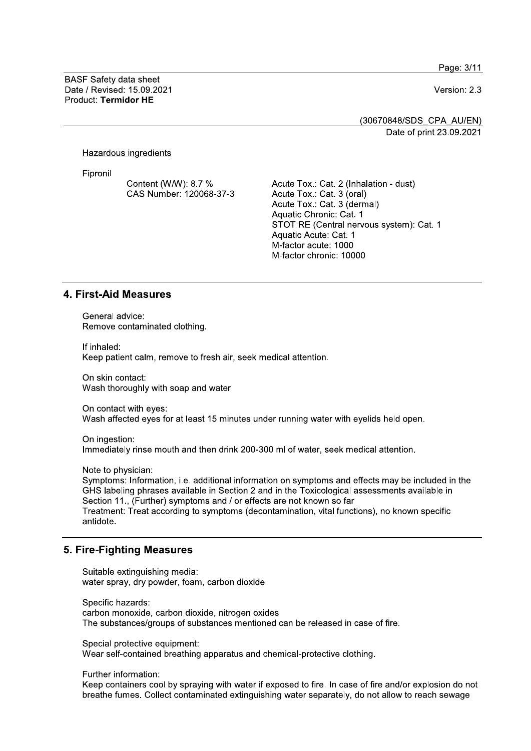Page: 3/11

**BASF Safety data sheet** Date / Revised: 15.09.2021 Product: Termidor HE

Version: 2.3

(30670848/SDS CPA AU/EN) Date of print 23.09.2021

Hazardous ingredients

Fipronil

Content (W/W): 8.7 % CAS Number: 120068-37-3 Acute Tox.: Cat. 2 (Inhalation - dust) Acute Tox.: Cat. 3 (oral) Acute Tox.: Cat. 3 (dermal) Aquatic Chronic: Cat. 1 STOT RE (Central nervous system): Cat. 1 Aquatic Acute: Cat. 1 M-factor acute: 1000 M-factor chronic: 10000

#### **4. First-Aid Measures**

General advice: Remove contaminated clothing.

If inhaled: Keep patient calm, remove to fresh air, seek medical attention.

On skin contact: Wash thoroughly with soap and water

On contact with eves: Wash affected eyes for at least 15 minutes under running water with eyelids held open.

On ingestion: Immediately rinse mouth and then drink 200-300 ml of water, seek medical attention.

Note to physician:

Symptoms: Information, i.e. additional information on symptoms and effects may be included in the GHS labeling phrases available in Section 2 and in the Toxicological assessments available in Section 11. (Further) symptoms and / or effects are not known so far Treatment: Treat according to symptoms (decontamination, vital functions), no known specific antidote.

### 5. Fire-Fighting Measures

Suitable extinguishing media: water spray, dry powder, foam, carbon dioxide

Specific hazards: carbon monoxide, carbon dioxide, nitrogen oxides The substances/groups of substances mentioned can be released in case of fire.

Special protective equipment: Wear self-contained breathing apparatus and chemical-protective clothing.

Further information:

Keep containers cool by spraying with water if exposed to fire. In case of fire and/or explosion do not breathe fumes. Collect contaminated extinguishing water separately, do not allow to reach sewage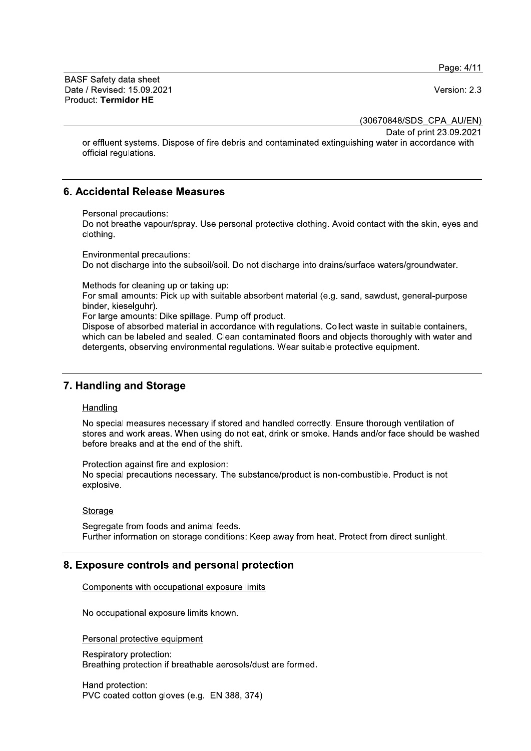Page: 4/11

**BASF Safety data sheet** Date / Revised: 15.09.2021 Product: Termidor HE

Version: 2.3

(30670848/SDS CPA AU/EN)

Date of print 23.09.2021

or effluent systems. Dispose of fire debris and contaminated extinguishing water in accordance with official regulations.

# 6. Accidental Release Measures

Personal precautions:

Do not breathe vapour/spray. Use personal protective clothing. Avoid contact with the skin, eyes and clothing.

Environmental precautions: Do not discharge into the subsoil/soil. Do not discharge into drains/surface waters/groundwater.

Methods for cleaning up or taking up:

For small amounts: Pick up with suitable absorbent material (e.g. sand, sawdust, general-purpose binder, kieselguhr).

For large amounts: Dike spillage. Pump off product.

Dispose of absorbed material in accordance with regulations. Collect waste in suitable containers. which can be labeled and sealed. Clean contaminated floors and objects thoroughly with water and detergents, observing environmental regulations. Wear suitable protective equipment.

# 7. Handling and Storage

#### Handling

No special measures necessary if stored and handled correctly. Ensure thorough ventilation of stores and work areas. When using do not eat, drink or smoke. Hands and/or face should be washed before breaks and at the end of the shift.

Protection against fire and explosion:

No special precautions necessary. The substance/product is non-combustible. Product is not explosive.

#### Storage

Segregate from foods and animal feeds. Further information on storage conditions: Keep away from heat. Protect from direct sunlight.

# 8. Exposure controls and personal protection

Components with occupational exposure limits

No occupational exposure limits known.

Personal protective equipment

Respiratory protection: Breathing protection if breathable aerosols/dust are formed.

Hand protection: PVC coated cotton gloves (e.g. EN 388, 374)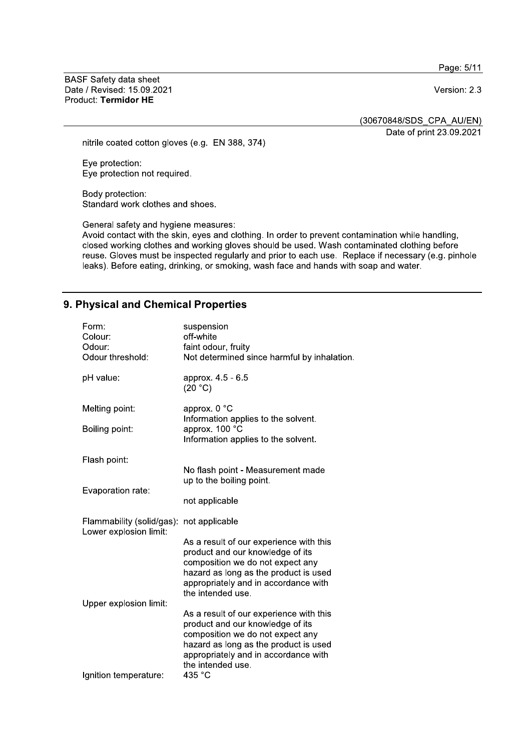Page: 5/11

**BASF Safety data sheet** Date / Revised: 15.09.2021 Product: Termidor HE

Version: 2.3

(30670848/SDS\_CPA\_AU/EN)

Date of print 23.09.2021

nitrile coated cotton gloves (e.g. EN 388, 374)

Eye protection: Eye protection not required.

Body protection: Standard work clothes and shoes.

General safety and hygiene measures:

Avoid contact with the skin, eyes and clothing. In order to prevent contamination while handling, closed working clothes and working gloves should be used. Wash contaminated clothing before reuse. Gloves must be inspected regularly and prior to each use. Replace if necessary (e.g. pinhole leaks). Before eating, drinking, or smoking, wash face and hands with soap and water.

# 9. Physical and Chemical Properties

| Form:<br>Colour:<br>Odour:<br>Odour threshold:      | suspension<br>off-white<br>faint odour, fruity<br>Not determined since harmful by inhalation.                                                                                                                         |  |
|-----------------------------------------------------|-----------------------------------------------------------------------------------------------------------------------------------------------------------------------------------------------------------------------|--|
| pH value:                                           | approx. 4.5 - 6.5<br>(20 °C)                                                                                                                                                                                          |  |
| Melting point:                                      | approx. 0 °C<br>Information applies to the solvent.<br>approx. 100 °C<br>Information applies to the solvent.                                                                                                          |  |
| Boiling point:                                      |                                                                                                                                                                                                                       |  |
| Flash point:                                        |                                                                                                                                                                                                                       |  |
|                                                     | No flash point - Measurement made<br>up to the boiling point.                                                                                                                                                         |  |
| Evaporation rate:                                   | not applicable                                                                                                                                                                                                        |  |
| Flammability (solid/gas):<br>Lower explosion limit: | not applicable                                                                                                                                                                                                        |  |
|                                                     | As a result of our experience with this<br>product and our knowledge of its<br>composition we do not expect any<br>hazard as long as the product is used<br>appropriately and in accordance with<br>the intended use. |  |
| Upper explosion limit:                              | As a result of our experience with this<br>product and our knowledge of its<br>composition we do not expect any<br>hazard as long as the product is used<br>appropriately and in accordance with<br>the intended use. |  |
| Ignition temperature:                               | 435 °C                                                                                                                                                                                                                |  |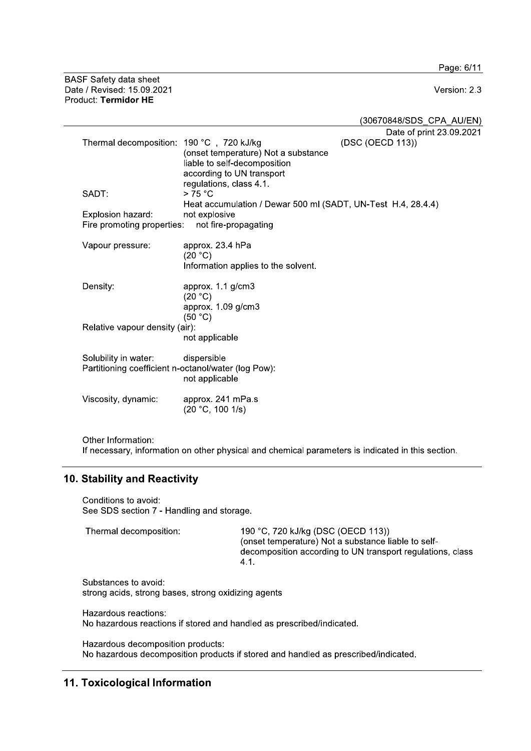Page: 6/11

**BASF Safety data sheet** Date / Revised: 15.09.2021 Product: Termidor HE

Version: 2.3

(30670848/SDS CPA AU/EN) Date of print 23.09.2021 Thermal decomposition: 190 °C, 720 kJ/kg (DSC (OECD 113)) (onset temperature) Not a substance liable to self-decomposition according to UN transport regulations, class 4.1. SADT:  $> 75 °C$ Heat accumulation / Dewar 500 ml (SADT, UN-Test H.4, 28.4.4) not explosive Explosion hazard: Fire promoting properties: not fire-propagating approx. 23.4 hPa Vapour pressure:  $(20 °C)$ Information applies to the solvent. Density: approx. 1.1 g/cm3  $(20 °C)$ approx. 1.09 g/cm3  $(50 °C)$ Relative vapour density (air): not applicable Solubility in water: dispersible Partitioning coefficient n-octanol/water (log Pow): not applicable Viscosity, dynamic: approx. 241 mPa.s  $(20 °C, 100 1/s)$ 

Other Information: If necessary, information on other physical and chemical parameters is indicated in this section.

# 10. Stability and Reactivity

Conditions to avoid: See SDS section 7 - Handling and storage.

Thermal decomposition: 190 °C, 720 kJ/kg (DSC (OECD 113)) (onset temperature) Not a substance liable to selfdecomposition according to UN transport regulations, class  $4.1.$ 

Substances to avoid: strong acids, strong bases, strong oxidizing agents

Hazardous reactions: No hazardous reactions if stored and handled as prescribed/indicated.

Hazardous decomposition products: No hazardous decomposition products if stored and handled as prescribed/indicated.

# 11. Toxicological Information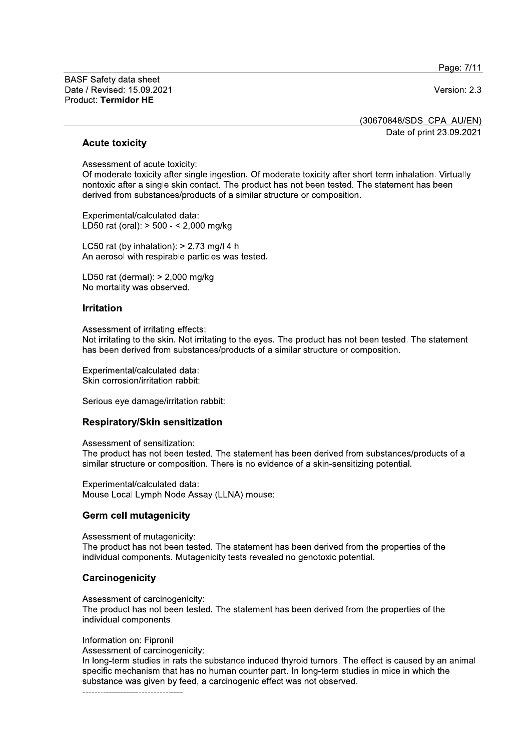Page: 7/11

**BASF Safety data sheet** Date / Revised: 15.09.2021 Product: Termidor HE

Version: 2.3

(30670848/SDS CPA AU/EN)

Date of print 23.09.2021

#### **Acute toxicity**

Assessment of acute toxicity:

Of moderate toxicity after single ingestion. Of moderate toxicity after short-term inhalation. Virtually nontoxic after a single skin contact. The product has not been tested. The statement has been derived from substances/products of a similar structure or composition.

Experimental/calculated data: LD50 rat (oral): > 500 - < 2,000 mg/kg

LC50 rat (by inhalation):  $> 2.73$  mg/l 4 h An aerosol with respirable particles was tested.

LD50 rat (dermal):  $> 2,000$  mg/kg No mortality was observed.

#### **Irritation**

Assessment of irritating effects:

Not irritating to the skin. Not irritating to the eves. The product has not been tested. The statement has been derived from substances/products of a similar structure or composition.

Experimental/calculated data: Skin corrosion/irritation rabbit:

Serious eye damage/irritation rabbit:

#### **Respiratory/Skin sensitization**

Assessment of sensitization: The product has not been tested. The statement has been derived from substances/products of a similar structure or composition. There is no evidence of a skin-sensitizing potential.

Experimental/calculated data: Mouse Local Lymph Node Assay (LLNA) mouse:

### **Germ cell mutagenicity**

Assessment of mutagenicity:

The product has not been tested. The statement has been derived from the properties of the individual components. Mutagenicity tests revealed no genotoxic potential.

### Carcinogenicity

Assessment of carcinogenicity:

The product has not been tested. The statement has been derived from the properties of the individual components.

Information on: Fipronil

Assessment of carcinogenicity:

In long-term studies in rats the substance induced thyroid tumors. The effect is caused by an animal specific mechanism that has no human counter part. In long-term studies in mice in which the substance was given by feed, a carcinogenic effect was not observed.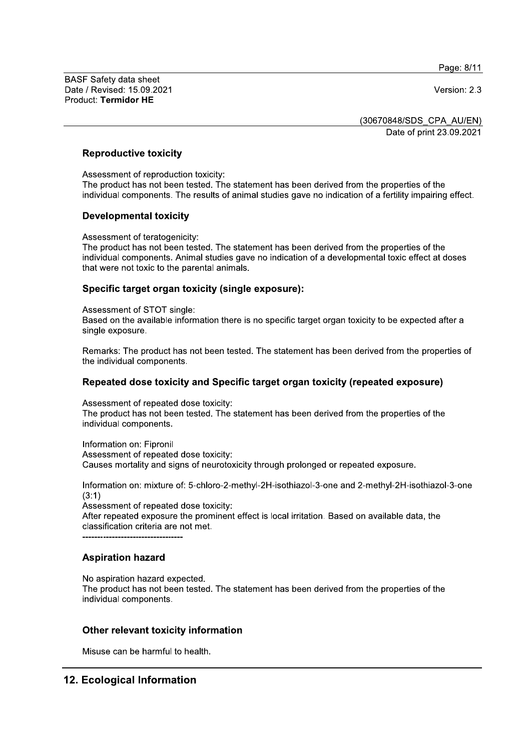Page: 8/11

BASF Sarety data sheet Date / Revised: 15.09.2021 **Date / Revised: 15.09.2021** Product: Termidor HE BASF Safety data sheet<br>Date / Revised: 15.09.2021<br>Product: Termidor HE<br>**Reproductive toxicity**<br>Assessment of reproduction to<br>The product has not been test

<u>(30670848/SDS\_CPA\_AU/EN)</u> Date of print 23.09.2021

#### $\mathbb{R}^2$ Reproductive toxicity

i. Assessment of reproduction toxicity:<br>———————————————————— The product has not been tested. The statement has been derived from the properties of the individual components. The results of animal studies gave no indication of a fertility impairing effect. Reproductive toxicity<br>
Assessment of reproduction toxicit<br>
The product has not been tested. To<br>
individual components. The results<br>
Developmental toxicity<br>
Assessment of teratogenicity:<br>
The product has not been tested. To

### **Developmental toxicity**

 $\mathbb{R}^2$ Assessment of teratogenicity:<br>—

The product has not been tested. The statement has been derived from the properties of the individual components. Animal studies gave no indication of a developmental toxic effect at doses that were not toxic to the parental animals.

#### $\mathbb{R}^2$ Specific target organ toxicity (single exposure):

i. Assessment of STOT single: Based on the available information there is no specific target organ toxicity to be expected after a single exposure.

 $\mathbb{Z}^{\mathbb{Z}}$ Remarks: The product has not been tested. The statement has been derived from the properties of the individual components.

#### $\mathbb{Z}^2$ Repeated dose toxicity and Specific target organ toxicity (repeated exposure)

 $\mathbb{R}^2$ Assessment of repeated dose toxicity:<br>————————————————————

The product has not been tested. The statement has been derived from the properties of the individual components.

 $\mathbf{L}$  $\blacksquare$  Information on:  $\blacksquare$ Assessment of repeated dose toxicity: Causes mortality and signs of neurotoxicity through prolonged or repeated exposure.

 $\mathbb{R}^2$ Information on: mixture of: 5-chloro-2-methyl-2H-isothiazol-3-one and 2-methyl-2H-isothiazol-3-one  $(3:1)$ 

Assessment of repeated dose toxicity:

After repeated exposure the prominent effect is local irritation. Based on available data, the classification criteria are not met.

TTTTTTTTTTTTTTTTTTTTTTTTTTTTTTTTTT

#### $\mathbb{R}^2$ Aspiration nazard

il. No aspiration nazard expected.<br>————————————————————

The product has not been tested. The statement has been derived from the properties of the individual components. **Aspiration hazard<br>Alo aspiration hazard expected.**<br>The product has not been tested. The statement has been<br>individual components.<br>**Other relevant toxicity information**<br>Misuse can be harmful to health.<br>**Ecological Informat** No aspiration hazard expected.<br>
The product has not been tested. The statemer<br>
individual components.<br> **Other relevant toxicity information**<br>
Misuse can be harmful to health.<br> **12. Ecological Information** 

 $\mathbb{R}^2$ Misuse can be narmful to health.

 $\overline{\phantom{a}}$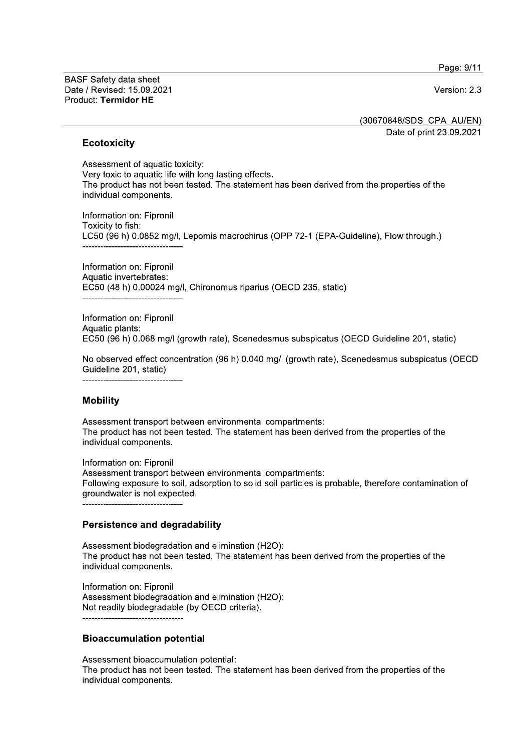Page: 9/11

**BASF Safety data sheet** Date / Revised: 15.09.2021 Product: Termidor HE

Version: 2.3

(30670848/SDS CPA AU/EN)

Date of print 23.09.2021

### **Ecotoxicity**

Assessment of aquatic toxicity: Very toxic to aquatic life with long lasting effects. The product has not been tested. The statement has been derived from the properties of the individual components.

Information on: Fipronil Toxicity to fish: LC50 (96 h) 0.0852 mg/l, Lepomis macrochirus (OPP 72-1 (EPA-Guideline), Flow through.)

Information on: Fipronil Aquatic invertebrates: EC50 (48 h) 0.00024 mg/l, Chironomus riparius (OECD 235, static) ----------------------------------

Information on: Fipronil Aquatic plants: EC50 (96 h) 0.068 mg/l (growth rate), Scenedesmus subspicatus (OECD Guideline 201, static)

No observed effect concentration (96 h) 0.040 mg/l (growth rate), Scenedesmus subspicatus (OECD Guideline 201, static)

### **Mobility**

Assessment transport between environmental compartments: The product has not been tested. The statement has been derived from the properties of the individual components.

Information on: Fipronil Assessment transport between environmental compartments: Following exposure to soil, adsorption to solid soil particles is probable, therefore contamination of groundwater is not expected.

### **Persistence and degradability**

Assessment biodegradation and elimination (H2O): The product has not been tested. The statement has been derived from the properties of the individual components.

Information on: Fipronil Assessment biodegradation and elimination (H2O): Not readily biodegradable (by OECD criteria).

### **Bioaccumulation potential**

Assessment bioaccumulation potential: The product has not been tested. The statement has been derived from the properties of the individual components.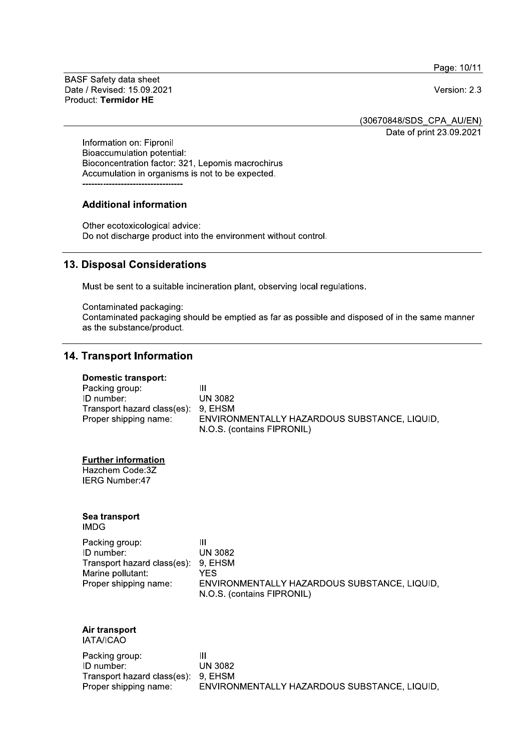Page: 10/11

**BASF Safety data sheet** Date / Revised: 15.09.2021 Product: Termidor HE

Version: 2.3

(30670848/SDS\_CPA\_AU/EN)

Date of print 23.09.2021

Information on: Fipronil Bioaccumulation potential: Bioconcentration factor: 321, Lepomis macrochirus Accumulation in organisms is not to be expected.

## **Additional information**

Other ecotoxicological advice: Do not discharge product into the environment without control.

# 13. Disposal Considerations

Must be sent to a suitable incineration plant, observing local regulations.

Contaminated packaging: Contaminated packaging should be emptied as far as possible and disposed of in the same manner as the substance/product.

# **14. Transport Information**

#### **Domestic transport:**

| Packing group:                      | Ш                                            |
|-------------------------------------|----------------------------------------------|
| ID number:                          | <b>UN 3082</b>                               |
| Transport hazard class(es): 9, EHSM |                                              |
| Proper shipping name:               | ENVIRONMENTALLY HAZARDOUS SUBSTANCE, LIQUID, |
|                                     | N.O.S. (contains FIPRONIL)                   |

#### **Further information**

Hazchem Code:3Z **IERG Number:47** 

#### Sea transport **IMDG**

| Packing group:                      | Ш                                            |
|-------------------------------------|----------------------------------------------|
| ID number:                          | UN 3082                                      |
| Transport hazard class(es): 9, EHSM |                                              |
| Marine pollutant:                   | YFS.                                         |
| Proper shipping name:               | ENVIRONMENTALLY HAZARDOUS SUBSTANCE. LIQUID. |
|                                     | N.O.S. (contains FIPRONIL)                   |

#### Air transport IATA/ICAO

| Packing group:                      | Ш                                            |
|-------------------------------------|----------------------------------------------|
| ID number:                          | UN 3082                                      |
| Transport hazard class(es): 9, EHSM |                                              |
| Proper shipping name:               | ENVIRONMENTALLY HAZARDOUS SUBSTANCE, LIQUID, |